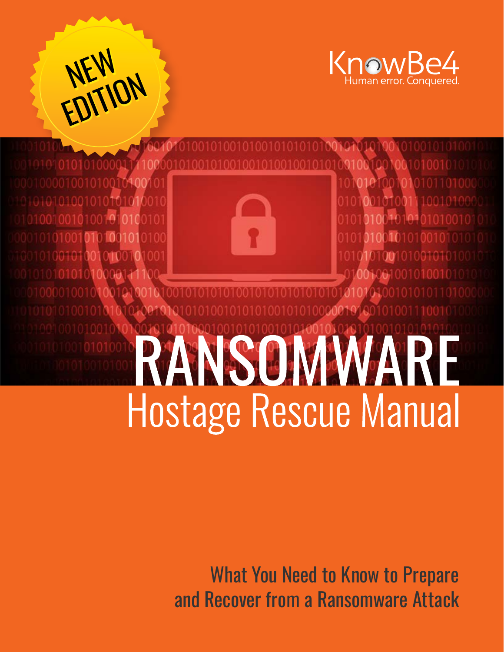





## **INSOMMARE Hostage Rescue Manual**

What You Need to Know to Prepare and Recover from a Ransomware Attack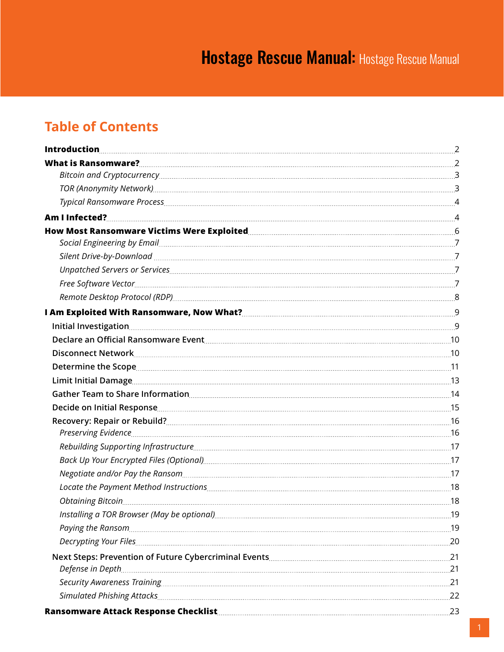## **Table of Contents**

| Decide on Initial Response <u>Communication and the set of the set of the set of the set of the set of the set of the set of the set of the set of the set of the set of the set of the set of the set of the set of the set of </u> |  |
|--------------------------------------------------------------------------------------------------------------------------------------------------------------------------------------------------------------------------------------|--|
|                                                                                                                                                                                                                                      |  |
|                                                                                                                                                                                                                                      |  |
|                                                                                                                                                                                                                                      |  |
|                                                                                                                                                                                                                                      |  |
|                                                                                                                                                                                                                                      |  |
|                                                                                                                                                                                                                                      |  |
| Obtaining Bitcoin 2008 and 2008 and 2008 and 2008 and 2008 and 2008 and 2008 and 2008 and 2008 and 2008 and 20                                                                                                                       |  |
|                                                                                                                                                                                                                                      |  |
|                                                                                                                                                                                                                                      |  |
|                                                                                                                                                                                                                                      |  |
|                                                                                                                                                                                                                                      |  |
|                                                                                                                                                                                                                                      |  |
|                                                                                                                                                                                                                                      |  |
|                                                                                                                                                                                                                                      |  |
| Ransomware Attack Response Checklist Manual Manuscrittis (1988) 73                                                                                                                                                                   |  |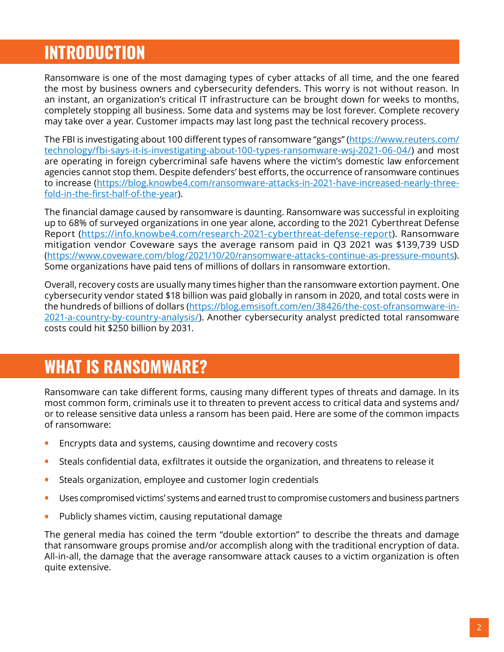## <span id="page-2-0"></span>**INTRODUCTION**

Ransomware is one of the most damaging types of cyber attacks of all time, and the one feared the most by business owners and cybersecurity defenders. This worry is not without reason. In an instant, an organization's critical IT infrastructure can be brought down for weeks to months, completely stopping all business. Some data and systems may be lost forever. Complete recovery may take over a year. Customer impacts may last long past the technical recovery process.

The FBI is investigating about 100 different types of ransomware "gangs" ([https://www.reuters.com/](https://www.reuters.com/technology/fbi-says-it-is-investigating-about-100-types-ransomware-wsj-2021-06-04/) [technology/fbi-says-it-is-investigating-about-100-types-ransomware-wsj-2021-06-04/\)](https://www.reuters.com/technology/fbi-says-it-is-investigating-about-100-types-ransomware-wsj-2021-06-04/) and most are operating in foreign cybercriminal safe havens where the victim's domestic law enforcement agencies cannot stop them. Despite defenders' best efforts, the occurrence of ransomware continues to increase ([https://blog.knowbe4.com/ransomware-attacks-in-2021-have-increased-nearly-three](https://blog.knowbe4.com/ransomware-attacks-in-2021-have-increased-nearly-three-fold-in-the-first-half-of-the-year)[fold-in-the-first-half-of-the-](https://blog.knowbe4.com/ransomware-attacks-in-2021-have-increased-nearly-three-fold-in-the-first-half-of-the-year)year).

The financial damage caused by ransomware is daunting. Ransomware was successful in exploiting up to 68% of surveyed organizations in one year alone, according to the 2021 Cyberthreat Defense Report (<https://info.knowbe4.com/research-2021-cyberthreat-defense-report>). Ransomware mitigation vendor Coveware says the average ransom paid in Q3 2021 was \$139,739 USD ([https://www.coveware.com/blog/2021/10/20/ransomware-attacks-continue-as-pressure-mounts\)](https://www.coveware.com/blog/2021/10/20/ransomware-attacks-continue-as-pressure-mounts). Some organizations have paid tens of millions of dollars in ransomware extortion.

Overall, recovery costs are usually many times higher than the ransomware extortion payment. One cybersecurity vendor stated \$18 billion was paid globally in ransom in 2020, and total costs were in the hundreds of billions of dollars ([https://blog.emsisoft.com/en/38426/the-cost-ofransomware-in-](https://blog.emsisoft.com/en/38426/the-cost-ofransomware-in-2021-a-country-by-country-analysis/)[2021-a-country-by-country-analysis/\)](https://blog.emsisoft.com/en/38426/the-cost-ofransomware-in-2021-a-country-by-country-analysis/). Another cybersecurity analyst predicted total ransomware costs could hit \$250 billion by 2031.

## **WHAT IS RANSOMWARE?**

Ransomware can take different forms, causing many different types of threats and damage. In its most common form, criminals use it to threaten to prevent access to critical data and systems and/ or to release sensitive data unless a ransom has been paid. Here are some of the common impacts of ransomware:

- **•** Encrypts data and systems, causing downtime and recovery costs
- **•** Steals confidential data, exfiltrates it outside the organization, and threatens to release it
- **•** Steals organization, employee and customer login credentials
- **•** Uses compromised victims' systems and earned trust to compromise customers and business partners
- **•** Publicly shames victim, causing reputational damage

The general media has coined the term "double extortion" to describe the threats and damage that ransomware groups promise and/or accomplish along with the traditional encryption of data. All-in-all, the damage that the average ransomware attack causes to a victim organization is often quite extensive.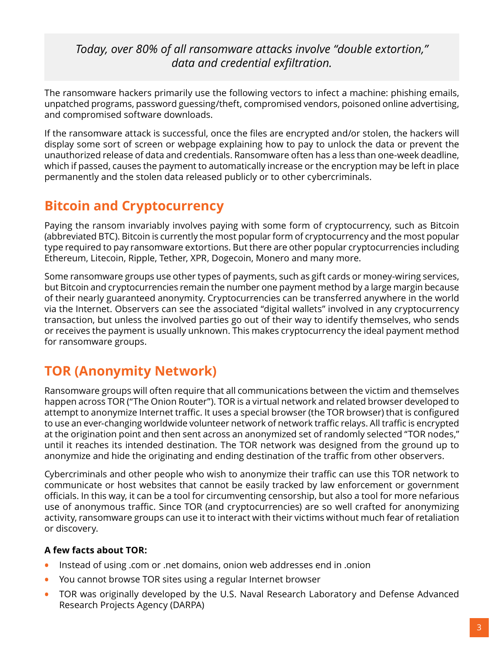#### <span id="page-3-0"></span>*Today, over 80% of all ransomware attacks involve "double extortion," data and credential exfiltration.*

The ransomware hackers primarily use the following vectors to infect a machine: phishing emails, unpatched programs, password guessing/theft, compromised vendors, poisoned online advertising, and compromised software downloads.

If the ransomware attack is successful, once the files are encrypted and/or stolen, the hackers will display some sort of screen or webpage explaining how to pay to unlock the data or prevent the unauthorized release of data and credentials. Ransomware often has a less than one-week deadline, which if passed, causes the payment to automatically increase or the encryption may be left in place permanently and the stolen data released publicly or to other cybercriminals.

### **Bitcoin and Cryptocurrency**

Paying the ransom invariably involves paying with some form of cryptocurrency, such as Bitcoin (abbreviated BTC). Bitcoin is currently the most popular form of cryptocurrency and the most popular type required to pay ransomware extortions. But there are other popular cryptocurrencies including Ethereum, Litecoin, Ripple, Tether, XPR, Dogecoin, Monero and many more.

Some ransomware groups use other types of payments, such as gift cards or money-wiring services, but Bitcoin and cryptocurrencies remain the number one payment method by a large margin because of their nearly guaranteed anonymity. Cryptocurrencies can be transferred anywhere in the world via the Internet. Observers can see the associated "digital wallets" involved in any cryptocurrency transaction, but unless the involved parties go out of their way to identify themselves, who sends or receives the payment is usually unknown. This makes cryptocurrency the ideal payment method for ransomware groups.

## **TOR (Anonymity Network)**

Ransomware groups will often require that all communications between the victim and themselves happen across TOR ("The Onion Router"). TOR is a virtual network and related browser developed to attempt to anonymize Internet traffic. It uses a special browser (the TOR browser) that is configured to use an ever-changing worldwide volunteer network of network traffic relays. All traffic is encrypted at the origination point and then sent across an anonymized set of randomly selected "TOR nodes," until it reaches its intended destination. The TOR network was designed from the ground up to anonymize and hide the originating and ending destination of the traffic from other observers.

Cybercriminals and other people who wish to anonymize their traffic can use this TOR network to communicate or host websites that cannot be easily tracked by law enforcement or government officials. In this way, it can be a tool for circumventing censorship, but also a tool for more nefarious use of anonymous traffic. Since TOR (and cryptocurrencies) are so well crafted for anonymizing activity, ransomware groups can use it to interact with their victims without much fear of retaliation or discovery.

#### **A few facts about TOR:**

- **•** Instead of using .com or .net domains, onion web addresses end in .onion
- **•** You cannot browse TOR sites using a regular Internet browser
- **•** TOR was originally developed by the U.S. Naval Research Laboratory and Defense Advanced Research Projects Agency (DARPA)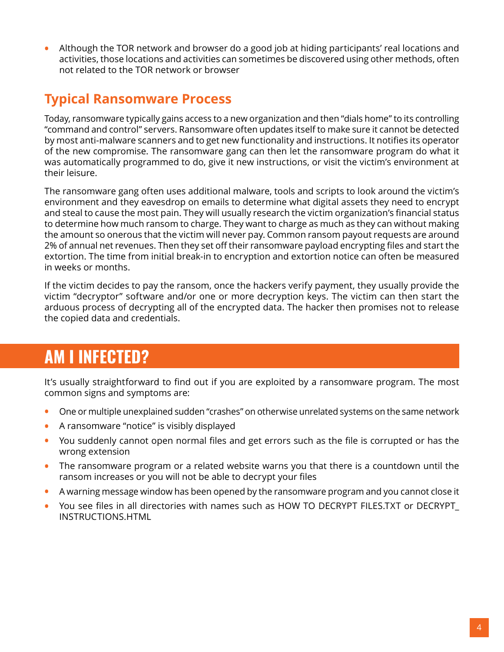<span id="page-4-0"></span>**•** Although the TOR network and browser do a good job at hiding participants' real locations and activities, those locations and activities can sometimes be discovered using other methods, often not related to the TOR network or browser

### **Typical Ransomware Process**

Today, ransomware typically gains access to a new organization and then "dials home" to its controlling "command and control" servers. Ransomware often updates itself to make sure it cannot be detected by most anti-malware scanners and to get new functionality and instructions. It notifies its operator of the new compromise. The ransomware gang can then let the ransomware program do what it was automatically programmed to do, give it new instructions, or visit the victim's environment at their leisure.

The ransomware gang often uses additional malware, tools and scripts to look around the victim's environment and they eavesdrop on emails to determine what digital assets they need to encrypt and steal to cause the most pain. They will usually research the victim organization's financial status to determine how much ransom to charge. They want to charge as much as they can without making the amount so onerous that the victim will never pay. Common ransom payout requests are around 2% of annual net revenues. Then they set off their ransomware payload encrypting files and start the extortion. The time from initial break-in to encryption and extortion notice can often be measured in weeks or months.

If the victim decides to pay the ransom, once the hackers verify payment, they usually provide the victim "decryptor" software and/or one or more decryption keys. The victim can then start the arduous process of decrypting all of the encrypted data. The hacker then promises not to release the copied data and credentials.

## **AM I INFECTED?**

It's usually straightforward to find out if you are exploited by a ransomware program. The most common signs and symptoms are:

- **•** One or multiple unexplained sudden "crashes" on otherwise unrelated systems on the same network
- **•** A ransomware "notice" is visibly displayed
- **•** You suddenly cannot open normal files and get errors such as the file is corrupted or has the wrong extension
- **•** The ransomware program or a related website warns you that there is a countdown until the ransom increases or you will not be able to decrypt your files
- **•** A warning message window has been opened by the ransomware program and you cannot close it
- **•** You see files in all directories with names such as HOW TO DECRYPT FILES.TXT or DECRYPT\_ INSTRUCTIONS.HTML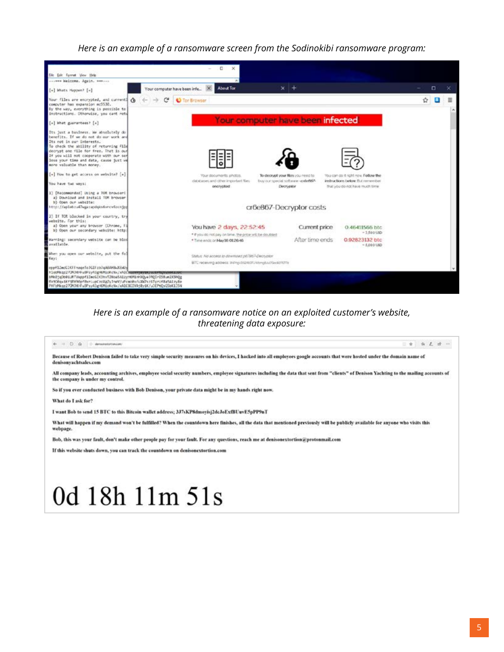*Here is an example of a ransomware screen from the Sodinokibi ransomware program:*



#### *Here is an example of a ransomware notice on an exploited customer's website, threatening data exposure:*

#### $\leftarrow -0$  . O . O determination  $A = 3$  & & & = Because of Robert Denison failed to take very simple security measures on his devices, I hacked into all employees google accounts that were hosted under the domain name of denisonyachtsales.com All company leads, accounting archives, employee social security numbers, employee signatures including the data that sent from "clients" of Denison Yachting to the mailing accounts of the company is under my control. So if you ever conducted business with Bob Denison, your private data might be in my hands right now. What do I ask for? I want Bob to send 15 BTC to this Bitcoin wallet address; 3J7sKP8dmoyisj2dcJoExfBUuvE5pPP9nT What will happen if my demand won't be fulfilled? When the countdown here finishes, all the data that mentioned previously will be publicly available for anyone who visits this webpage. Bob, this was your fault, don't make other people pay for your fault. For any questions, reach me at denisonextortion@protonmail.com If this website shuts down, you can track the countdown on denisonextortion.com 0d 18h 11m 51s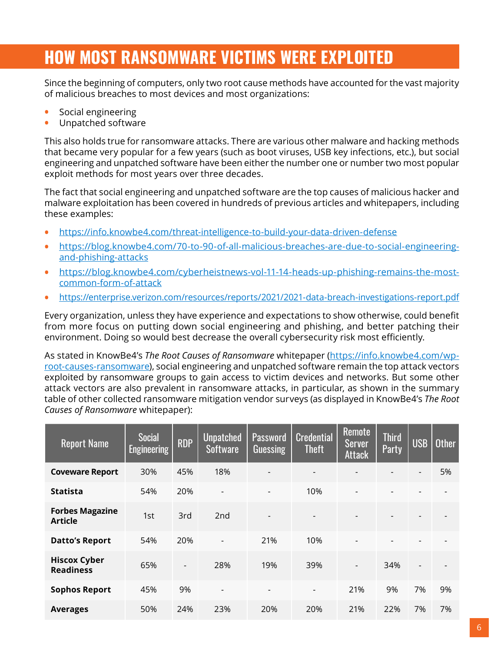# <span id="page-6-0"></span>**HOW MOST RANSOMWARE VICTIMS WERE EXPLOITED**

Since the beginning of computers, only two root cause methods have accounted for the vast majority of malicious breaches to most devices and most organizations:

- **•** Social engineering
- **•** Unpatched software

This also holds true for ransomware attacks. There are various other malware and hacking methods that became very popular for a few years (such as boot viruses, USB key infections, etc.), but social engineering and unpatched software have been either the number one or number two most popular exploit methods for most years over three decades.

The fact that social engineering and unpatched software are the top causes of malicious hacker and malware exploitation has been covered in hundreds of previous articles and whitepapers, including these examples:

- **•** <https://info.knowbe4.com/threat-intelligence-to-build-your-data-driven-defense>
- **•** [https://blog.knowbe4.com/70-to-90-of-all-malicious-breaches-are-due-to-social-engineering](https://blog.knowbe4.com/70-to-90-of-all-malicious-breaches-are-due-to-social-engineering-and-phishing-attacks)[and-phishing-attacks](https://blog.knowbe4.com/70-to-90-of-all-malicious-breaches-are-due-to-social-engineering-and-phishing-attacks)
- **•** [https://blog.knowbe4.com/cyberheistnews-vol-11-14-heads-up-phishing-remains-the-most](https://blog.knowbe4.com/cyberheistnews-vol-11-14-heads-up-phishing-remains-the-most-common-form-of-attack)[common-form-of-attack](https://blog.knowbe4.com/cyberheistnews-vol-11-14-heads-up-phishing-remains-the-most-common-form-of-attack)
- **•** <https://enterprise.verizon.com/resources/reports/2021/2021-data-breach-investigations-report.pdf>

Every organization, unless they have experience and expectations to show otherwise, could benefit from more focus on putting down social engineering and phishing, and better patching their environment. Doing so would best decrease the overall cybersecurity risk most efficiently.

As stated in KnowBe4's *The Root Causes of Ransomware* whitepaper ([https://info.knowbe4.com/wp](https://info.knowbe4.com/wp-root-causes-ransomware)[root-causes-ransomware](https://info.knowbe4.com/wp-root-causes-ransomware)), social engineering and unpatched software remain the top attack vectors exploited by ransomware groups to gain access to victim devices and networks. But some other attack vectors are also prevalent in ransomware attacks, in particular, as shown in the summary table of other collected ransomware mitigation vendor surveys (as displayed in KnowBe4's *The Root Causes of Ransomware* whitepaper):

| <b>Report Name</b>                       | <b>Social</b><br><b>Engineering</b> | <b>RDP</b>               | <b>Unpatched</b><br><b>Software</b> | Password<br>Guessing | <b>Credential</b><br><b>Theft</b> | <b>Remote</b><br>Server<br><b>Attack</b> | <b>Third</b><br>Party | <b>USB</b> | <b>Other</b> |
|------------------------------------------|-------------------------------------|--------------------------|-------------------------------------|----------------------|-----------------------------------|------------------------------------------|-----------------------|------------|--------------|
| <b>Coveware Report</b>                   | 30%                                 | 45%                      | 18%                                 |                      | $\overline{\phantom{0}}$          |                                          |                       |            | 5%           |
| <b>Statista</b>                          | 54%                                 | 20%                      |                                     | -                    | 10%                               | $\overline{a}$                           |                       |            |              |
| <b>Forbes Magazine</b><br><b>Article</b> | 1st                                 | 3rd                      | 2 <sub>nd</sub>                     | $\overline{a}$       | $\overline{\phantom{a}}$          |                                          |                       |            |              |
| <b>Datto's Report</b>                    | 54%                                 | 20%                      |                                     | 21%                  | 10%                               | $\overline{a}$                           |                       |            |              |
| <b>Hiscox Cyber</b><br><b>Readiness</b>  | 65%                                 | $\overline{\phantom{0}}$ | 28%                                 | 19%                  | 39%                               | $\overline{\phantom{a}}$                 | 34%                   |            |              |
| <b>Sophos Report</b>                     | 45%                                 | 9%                       | $\overline{\phantom{a}}$            | -                    | $\overline{\phantom{a}}$          | 21%                                      | 9%                    | 7%         | 9%           |
| <b>Averages</b>                          | 50%                                 | 24%                      | 23%                                 | 20%                  | 20%                               | 21%                                      | 22%                   | 7%         | 7%           |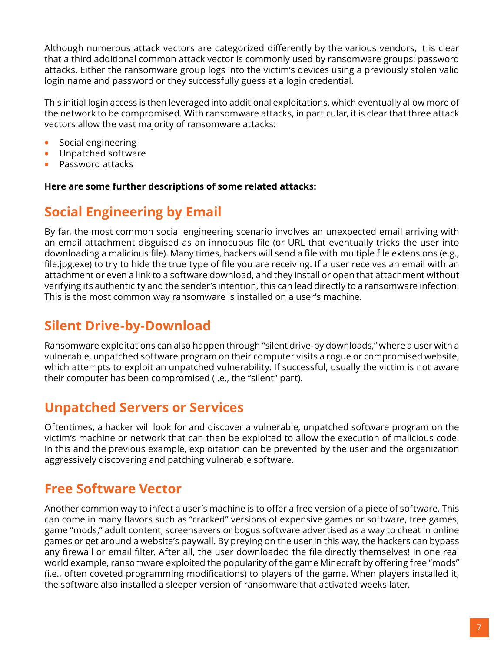<span id="page-7-0"></span>Although numerous attack vectors are categorized differently by the various vendors, it is clear that a third additional common attack vector is commonly used by ransomware groups: password attacks. Either the ransomware group logs into the victim's devices using a previously stolen valid login name and password or they successfully guess at a login credential.

This initial login access is then leveraged into additional exploitations, which eventually allow more of the network to be compromised. With ransomware attacks, in particular, it is clear that three attack vectors allow the vast majority of ransomware attacks:

- **•** Social engineering
- **•** Unpatched software
- **•** Password attacks

**Here are some further descriptions of some related attacks:**

### **Social Engineering by Email**

By far, the most common social engineering scenario involves an unexpected email arriving with an email attachment disguised as an innocuous file (or URL that eventually tricks the user into downloading a malicious file). Many times, hackers will send a file with multiple file extensions (e.g., file.jpg.exe) to try to hide the true type of file you are receiving. If a user receives an email with an attachment or even a link to a software download, and they install or open that attachment without verifying its authenticity and the sender's intention, this can lead directly to a ransomware infection. This is the most common way ransomware is installed on a user's machine.

### **Silent Drive-by-Download**

Ransomware exploitations can also happen through "silent drive-by downloads," where a user with a vulnerable, unpatched software program on their computer visits a rogue or compromised website, which attempts to exploit an unpatched vulnerability. If successful, usually the victim is not aware their computer has been compromised (i.e., the "silent" part).

### **Unpatched Servers or Services**

Oftentimes, a hacker will look for and discover a vulnerable, unpatched software program on the victim's machine or network that can then be exploited to allow the execution of malicious code. In this and the previous example, exploitation can be prevented by the user and the organization aggressively discovering and patching vulnerable software.

### **Free Software Vector**

Another common way to infect a user's machine is to offer a free version of a piece of software. This can come in many flavors such as "cracked" versions of expensive games or software, free games, game "mods," adult content, screensavers or bogus software advertised as a way to cheat in online games or get around a website's paywall. By preying on the user in this way, the hackers can bypass any firewall or email filter. After all, the user downloaded the file directly themselves! In one real world example, ransomware exploited the popularity of the game Minecraft by offering free "mods" (i.e., often coveted programming modifications) to players of the game. When players installed it, the software also installed a sleeper version of ransomware that activated weeks later.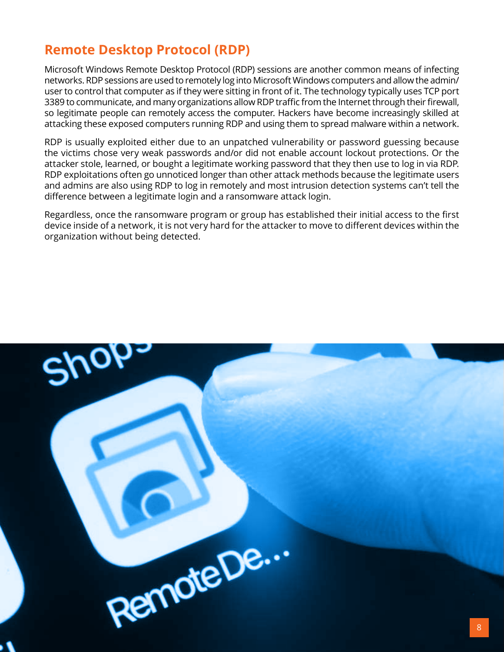### <span id="page-8-0"></span>**Remote Desktop Protocol (RDP)**

Microsoft Windows Remote Desktop Protocol (RDP) sessions are another common means of infecting networks. RDP sessions are used to remotely log into Microsoft Windows computers and allow the admin/ user to control that computer as if they were sitting in front of it. The technology typically uses TCP port 3389 to communicate, and many organizations allow RDP traffic from the Internet through their firewall, so legitimate people can remotely access the computer. Hackers have become increasingly skilled at attacking these exposed computers running RDP and using them to spread malware within a network.

RDP is usually exploited either due to an unpatched vulnerability or password guessing because the victims chose very weak passwords and/or did not enable account lockout protections. Or the attacker stole, learned, or bought a legitimate working password that they then use to log in via RDP. RDP exploitations often go unnoticed longer than other attack methods because the legitimate users and admins are also using RDP to log in remotely and most intrusion detection systems can't tell the difference between a legitimate login and a ransomware attack login.

Regardless, once the ransomware program or group has established their initial access to the first device inside of a network, it is not very hard for the attacker to move to different devices within the organization without being detected.

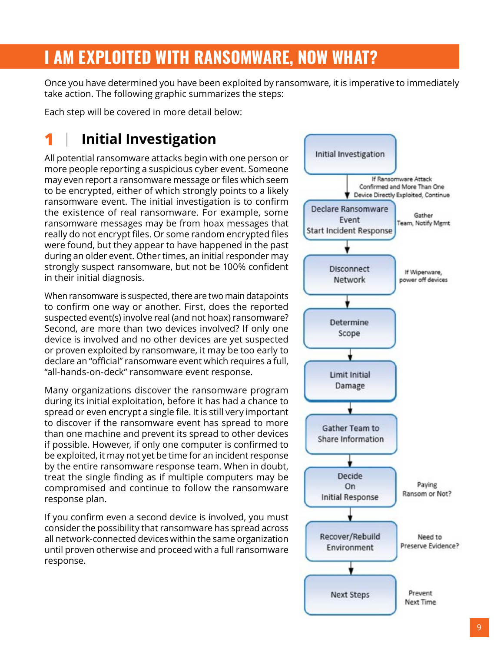# <span id="page-9-0"></span>**I AM EXPLOITED WITH RANSOMWARE, NOW WHAT?**

Once you have determined you have been exploited by ransomware, it is imperative to immediately take action. The following graphic summarizes the steps:

Each step will be covered in more detail below:

## **1 Initial Investigation**

All potential ransomware attacks begin with one person or more people reporting a suspicious cyber event. Someone may even report a ransomware message or files which seem to be encrypted, either of which strongly points to a likely ransomware event. The initial investigation is to confirm the existence of real ransomware. For example, some ransomware messages may be from hoax messages that really do not encrypt files. Or some random encrypted files were found, but they appear to have happened in the past during an older event. Other times, an initial responder may strongly suspect ransomware, but not be 100% confident in their initial diagnosis.

When ransomware is suspected, there are two main datapoints to confirm one way or another. First, does the reported suspected event(s) involve real (and not hoax) ransomware? Second, are more than two devices involved? If only one device is involved and no other devices are yet suspected or proven exploited by ransomware, it may be too early to declare an "official" ransomware event which requires a full, "all-hands-on-deck" ransomware event response.

Many organizations discover the ransomware program during its initial exploitation, before it has had a chance to spread or even encrypt a single file. It is still very important to discover if the ransomware event has spread to more than one machine and prevent its spread to other devices if possible. However, if only one computer is confirmed to be exploited, it may not yet be time for an incident response by the entire ransomware response team. When in doubt, treat the single finding as if multiple computers may be compromised and continue to follow the ransomware response plan.

If you confirm even a second device is involved, you must consider the possibility that ransomware has spread across all network-connected devices within the same organization until proven otherwise and proceed with a full ransomware response.

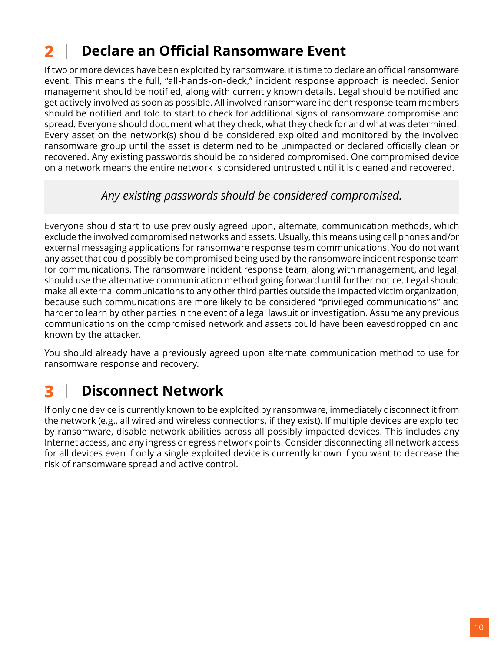## <span id="page-10-0"></span>**2 Declare an Official Ransomware Event**

If two or more devices have been exploited by ransomware, it is time to declare an official ransomware event. This means the full, "all-hands-on-deck," incident response approach is needed. Senior management should be notified, along with currently known details. Legal should be notified and get actively involved as soon as possible. All involved ransomware incident response team members should be notified and told to start to check for additional signs of ransomware compromise and spread. Everyone should document what they check, what they check for and what was determined. Every asset on the network(s) should be considered exploited and monitored by the involved ransomware group until the asset is determined to be unimpacted or declared officially clean or recovered. Any existing passwords should be considered compromised. One compromised device on a network means the entire network is considered untrusted until it is cleaned and recovered.

#### *Any existing passwords should be considered compromised.*

Everyone should start to use previously agreed upon, alternate, communication methods, which exclude the involved compromised networks and assets. Usually, this means using cell phones and/or external messaging applications for ransomware response team communications. You do not want any asset that could possibly be compromised being used by the ransomware incident response team for communications. The ransomware incident response team, along with management, and legal, should use the alternative communication method going forward until further notice. Legal should make all external communications to any other third parties outside the impacted victim organization, because such communications are more likely to be considered "privileged communications" and harder to learn by other parties in the event of a legal lawsuit or investigation. Assume any previous communications on the compromised network and assets could have been eavesdropped on and known by the attacker.

You should already have a previously agreed upon alternate communication method to use for ransomware response and recovery.

## **3 Disconnect Network**

If only one device is currently known to be exploited by ransomware, immediately disconnect it from the network (e.g., all wired and wireless connections, if they exist). If multiple devices are exploited by ransomware, disable network abilities across all possibly impacted devices. This includes any Internet access, and any ingress or egress network points. Consider disconnecting all network access for all devices even if only a single exploited device is currently known if you want to decrease the risk of ransomware spread and active control.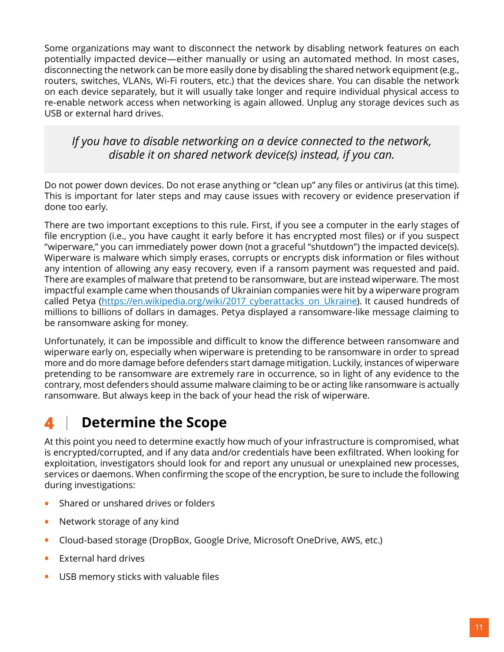<span id="page-11-0"></span>Some organizations may want to disconnect the network by disabling network features on each potentially impacted device—either manually or using an automated method. In most cases, disconnecting the network can be more easily done by disabling the shared network equipment (e.g., routers, switches, VLANs, Wi-Fi routers, etc.) that the devices share. You can disable the network on each device separately, but it will usually take longer and require individual physical access to re-enable network access when networking is again allowed. Unplug any storage devices such as USB or external hard drives.

#### *If you have to disable networking on a device connected to the network, disable it on shared network device(s) instead, if you can.*

Do not power down devices. Do not erase anything or "clean up" any files or antivirus (at this time). This is important for later steps and may cause issues with recovery or evidence preservation if done too early.

There are two important exceptions to this rule. First, if you see a computer in the early stages of file encryption (i.e., you have caught it early before it has encrypted most files) or if you suspect "wiperware," you can immediately power down (not a graceful "shutdown") the impacted device(s). Wiperware is malware which simply erases, corrupts or encrypts disk information or files without any intention of allowing any easy recovery, even if a ransom payment was requested and paid. There are examples of malware that pretend to be ransomware, but are instead wiperware. The most impactful example came when thousands of Ukrainian companies were hit by a wiperware program called Petya ([https://en.wikipedia.org/wiki/2017\\_cyberattacks\\_on\\_Ukraine](https://en.wikipedia.org/wiki/2017_cyberattacks_on_Ukraine)). It caused hundreds of millions to billions of dollars in damages. Petya displayed a ransomware-like message claiming to be ransomware asking for money.

Unfortunately, it can be impossible and difficult to know the difference between ransomware and wiperware early on, especially when wiperware is pretending to be ransomware in order to spread more and do more damage before defenders start damage mitigation. Luckily, instances of wiperware pretending to be ransomware are extremely rare in occurrence, so in light of any evidence to the contrary, most defenders should assume malware claiming to be or acting like ransomware is actually ransomware. But always keep in the back of your head the risk of wiperware.

## **4 Determine the Scope**

At this point you need to determine exactly how much of your infrastructure is compromised, what is encrypted/corrupted, and if any data and/or credentials have been exfiltrated. When looking for exploitation, investigators should look for and report any unusual or unexplained new processes, services or daemons. When confirming the scope of the encryption, be sure to include the following during investigations:

- **•** Shared or unshared drives or folders
- **•** Network storage of any kind
- **•** Cloud-based storage (DropBox, Google Drive, Microsoft OneDrive, AWS, etc.)
- **•** External hard drives
- **•** USB memory sticks with valuable files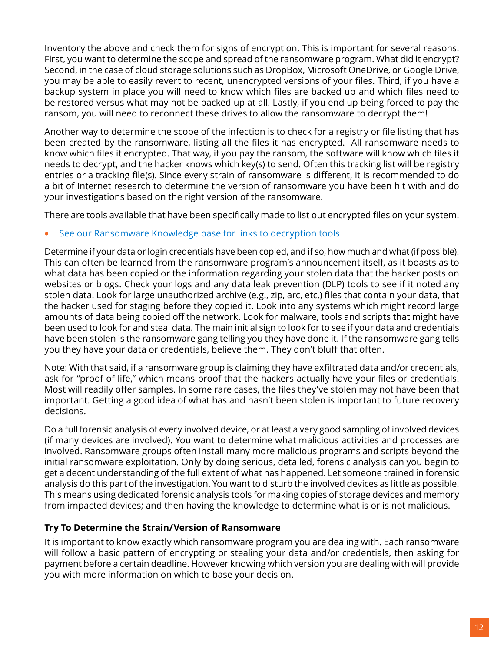Inventory the above and check them for signs of encryption. This is important for several reasons: First, you want to determine the scope and spread of the ransomware program. What did it encrypt? Second, in the case of cloud storage solutions such as DropBox, Microsoft OneDrive, or Google Drive, you may be able to easily revert to recent, unencrypted versions of your files. Third, if you have a backup system in place you will need to know which files are backed up and which files need to be restored versus what may not be backed up at all. Lastly, if you end up being forced to pay the ransom, you will need to reconnect these drives to allow the ransomware to decrypt them!

Another way to determine the scope of the infection is to check for a registry or file listing that has been created by the ransomware, listing all the files it has encrypted. All ransomware needs to know which files it encrypted. That way, if you pay the ransom, the software will know which files it needs to decrypt, and the hacker knows which key(s) to send. Often this tracking list will be registry entries or a tracking file(s). Since every strain of ransomware is different, it is recommended to do a bit of Internet research to determine the version of ransomware you have been hit with and do your investigations based on the right version of the ransomware.

There are tools available that have been specifically made to list out encrypted files on your system.

#### **•** [See our Ransomware Knowledge base for links to decryption tools](https://www.knowbe4.com/ransomware-knowledgebase)

Determine if your data or login credentials have been copied, and if so, how much and what (if possible). This can often be learned from the ransomware program's announcement itself, as it boasts as to what data has been copied or the information regarding your stolen data that the hacker posts on websites or blogs. Check your logs and any data leak prevention (DLP) tools to see if it noted any stolen data. Look for large unauthorized archive (e.g., zip, arc, etc.) files that contain your data, that the hacker used for staging before they copied it. Look into any systems which might record large amounts of data being copied off the network. Look for malware, tools and scripts that might have been used to look for and steal data. The main initial sign to look for to see if your data and credentials have been stolen is the ransomware gang telling you they have done it. If the ransomware gang tells you they have your data or credentials, believe them. They don't bluff that often.

Note: With that said, if a ransomware group is claiming they have exfiltrated data and/or credentials, ask for "proof of life," which means proof that the hackers actually have your files or credentials. Most will readily offer samples. In some rare cases, the files they've stolen may not have been that important. Getting a good idea of what has and hasn't been stolen is important to future recovery decisions.

Do a full forensic analysis of every involved device, or at least a very good sampling of involved devices (if many devices are involved). You want to determine what malicious activities and processes are involved. Ransomware groups often install many more malicious programs and scripts beyond the initial ransomware exploitation. Only by doing serious, detailed, forensic analysis can you begin to get a decent understanding of the full extent of what has happened. Let someone trained in forensic analysis do this part of the investigation. You want to disturb the involved devices as little as possible. This means using dedicated forensic analysis tools for making copies of storage devices and memory from impacted devices; and then having the knowledge to determine what is or is not malicious.

#### **Try To Determine the Strain/Version of Ransomware**

It is important to know exactly which ransomware program you are dealing with. Each ransomware will follow a basic pattern of encrypting or stealing your data and/or credentials, then asking for payment before a certain deadline. However knowing which version you are dealing with will provide you with more information on which to base your decision.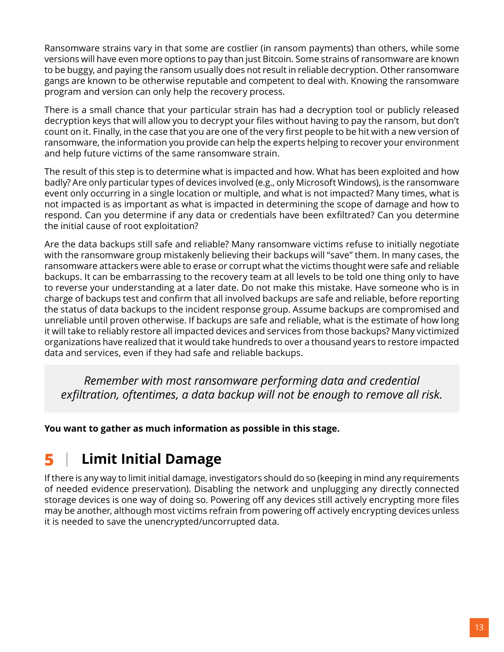<span id="page-13-0"></span>Ransomware strains vary in that some are costlier (in ransom payments) than others, while some versions will have even more options to pay than just Bitcoin. Some strains of ransomware are known to be buggy, and paying the ransom usually does not result in reliable decryption. Other ransomware gangs are known to be otherwise reputable and competent to deal with. Knowing the ransomware program and version can only help the recovery process.

There is a small chance that your particular strain has had a decryption tool or publicly released decryption keys that will allow you to decrypt your files without having to pay the ransom, but don't count on it. Finally, in the case that you are one of the very first people to be hit with a new version of ransomware, the information you provide can help the experts helping to recover your environment and help future victims of the same ransomware strain.

The result of this step is to determine what is impacted and how. What has been exploited and how badly? Are only particular types of devices involved (e.g., only Microsoft Windows), is the ransomware event only occurring in a single location or multiple, and what is not impacted? Many times, what is not impacted is as important as what is impacted in determining the scope of damage and how to respond. Can you determine if any data or credentials have been exfiltrated? Can you determine the initial cause of root exploitation?

Are the data backups still safe and reliable? Many ransomware victims refuse to initially negotiate with the ransomware group mistakenly believing their backups will "save" them. In many cases, the ransomware attackers were able to erase or corrupt what the victims thought were safe and reliable backups. It can be embarrassing to the recovery team at all levels to be told one thing only to have to reverse your understanding at a later date. Do not make this mistake. Have someone who is in charge of backups test and confirm that all involved backups are safe and reliable, before reporting the status of data backups to the incident response group. Assume backups are compromised and unreliable until proven otherwise. If backups are safe and reliable, what is the estimate of how long it will take to reliably restore all impacted devices and services from those backups? Many victimized organizations have realized that it would take hundreds to over a thousand years to restore impacted data and services, even if they had safe and reliable backups.

*Remember with most ransomware performing data and credential exfiltration, oftentimes, a data backup will not be enough to remove all risk.*

**You want to gather as much information as possible in this stage.**

## **5 Limit Initial Damage**

If there is any way to limit initial damage, investigators should do so (keeping in mind any requirements of needed evidence preservation). Disabling the network and unplugging any directly connected storage devices is one way of doing so. Powering off any devices still actively encrypting more files may be another, although most victims refrain from powering off actively encrypting devices unless it is needed to save the unencrypted/uncorrupted data.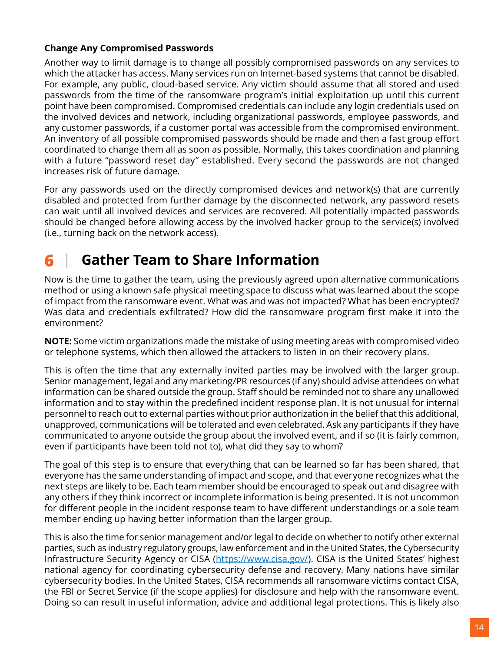#### <span id="page-14-0"></span>**Change Any Compromised Passwords**

Another way to limit damage is to change all possibly compromised passwords on any services to which the attacker has access. Many services run on Internet-based systems that cannot be disabled. For example, any public, cloud-based service. Any victim should assume that all stored and used passwords from the time of the ransomware program's initial exploitation up until this current point have been compromised. Compromised credentials can include any login credentials used on the involved devices and network, including organizational passwords, employee passwords, and any customer passwords, if a customer portal was accessible from the compromised environment. An inventory of all possible compromised passwords should be made and then a fast group effort coordinated to change them all as soon as possible. Normally, this takes coordination and planning with a future "password reset day" established. Every second the passwords are not changed increases risk of future damage.

For any passwords used on the directly compromised devices and network(s) that are currently disabled and protected from further damage by the disconnected network, any password resets can wait until all involved devices and services are recovered. All potentially impacted passwords should be changed before allowing access by the involved hacker group to the service(s) involved (i.e., turning back on the network access).

## **6 Gather Team to Share Information**

Now is the time to gather the team, using the previously agreed upon alternative communications method or using a known safe physical meeting space to discuss what was learned about the scope of impact from the ransomware event. What was and was not impacted? What has been encrypted? Was data and credentials exfiltrated? How did the ransomware program first make it into the environment?

**NOTE:** Some victim organizations made the mistake of using meeting areas with compromised video or telephone systems, which then allowed the attackers to listen in on their recovery plans.

This is often the time that any externally invited parties may be involved with the larger group. Senior management, legal and any marketing/PR resources (if any) should advise attendees on what information can be shared outside the group. Staff should be reminded not to share any unallowed information and to stay within the predefined incident response plan. It is not unusual for internal personnel to reach out to external parties without prior authorization in the belief that this additional, unapproved, communications will be tolerated and even celebrated. Ask any participants if they have communicated to anyone outside the group about the involved event, and if so (it is fairly common, even if participants have been told not to), what did they say to whom?

The goal of this step is to ensure that everything that can be learned so far has been shared, that everyone has the same understanding of impact and scope, and that everyone recognizes what the next steps are likely to be. Each team member should be encouraged to speak out and disagree with any others if they think incorrect or incomplete information is being presented. It is not uncommon for different people in the incident response team to have different understandings or a sole team member ending up having better information than the larger group.

This is also the time for senior management and/or legal to decide on whether to notify other external parties, such as industry regulatory groups, law enforcement and in the United States, the Cybersecurity Infrastructure Security Agency or CISA ([https://www.cisa.gov/\)](https://www.cisa.gov/). CISA is the United States' highest national agency for coordinating cybersecurity defense and recovery. Many nations have similar cybersecurity bodies. In the United States, CISA recommends all ransomware victims contact CISA, the FBI or Secret Service (if the scope applies) for disclosure and help with the ransomware event. Doing so can result in useful information, advice and additional legal protections. This is likely also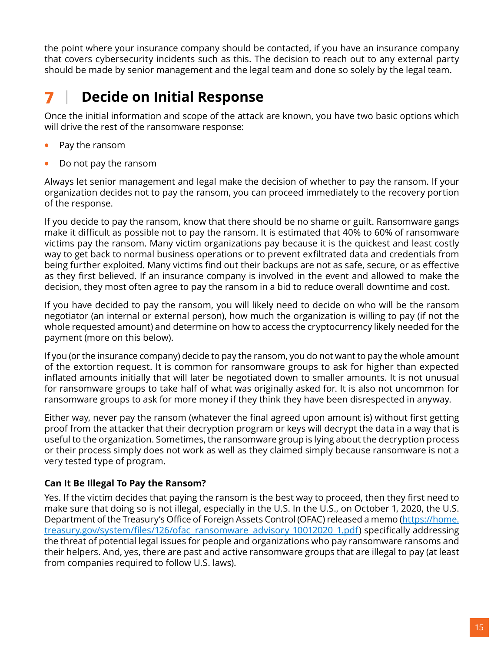<span id="page-15-0"></span>the point where your insurance company should be contacted, if you have an insurance company that covers cybersecurity incidents such as this. The decision to reach out to any external party should be made by senior management and the legal team and done so solely by the legal team.

## **7 Decide on Initial Response**

Once the initial information and scope of the attack are known, you have two basic options which will drive the rest of the ransomware response:

- **•** Pay the ransom
- **•** Do not pay the ransom

Always let senior management and legal make the decision of whether to pay the ransom. If your organization decides not to pay the ransom, you can proceed immediately to the recovery portion of the response.

If you decide to pay the ransom, know that there should be no shame or guilt. Ransomware gangs make it difficult as possible not to pay the ransom. It is estimated that 40% to 60% of ransomware victims pay the ransom. Many victim organizations pay because it is the quickest and least costly way to get back to normal business operations or to prevent exfiltrated data and credentials from being further exploited. Many victims find out their backups are not as safe, secure, or as effective as they first believed. If an insurance company is involved in the event and allowed to make the decision, they most often agree to pay the ransom in a bid to reduce overall downtime and cost.

If you have decided to pay the ransom, you will likely need to decide on who will be the ransom negotiator (an internal or external person), how much the organization is willing to pay (if not the whole requested amount) and determine on how to access the cryptocurrency likely needed for the payment (more on this below).

If you (or the insurance company) decide to pay the ransom, you do not want to pay the whole amount of the extortion request. It is common for ransomware groups to ask for higher than expected inflated amounts initially that will later be negotiated down to smaller amounts. It is not unusual for ransomware groups to take half of what was originally asked for. It is also not uncommon for ransomware groups to ask for more money if they think they have been disrespected in anyway.

Either way, never pay the ransom (whatever the final agreed upon amount is) without first getting proof from the attacker that their decryption program or keys will decrypt the data in a way that is useful to the organization. Sometimes, the ransomware group is lying about the decryption process or their process simply does not work as well as they claimed simply because ransomware is not a very tested type of program.

#### **Can It Be Illegal To Pay the Ransom?**

Yes. If the victim decides that paying the ransom is the best way to proceed, then they first need to make sure that doing so is not illegal, especially in the U.S. In the U.S., on October 1, 2020, the U.S. Department of the Treasury's Office of Foreign Assets Control (OFAC) released a memo ([https://home.](https://home.treasury.gov/system/files/126/ofac_ransomware_advisory_10012020_1.pdf) [treasury.gov/system/files/126/ofac\\_ransomware\\_advisory\\_10012020\\_1.pdf](https://home.treasury.gov/system/files/126/ofac_ransomware_advisory_10012020_1.pdf)) specifically addressing the threat of potential legal issues for people and organizations who pay ransomware ransoms and their helpers. And, yes, there are past and active ransomware groups that are illegal to pay (at least from companies required to follow U.S. laws).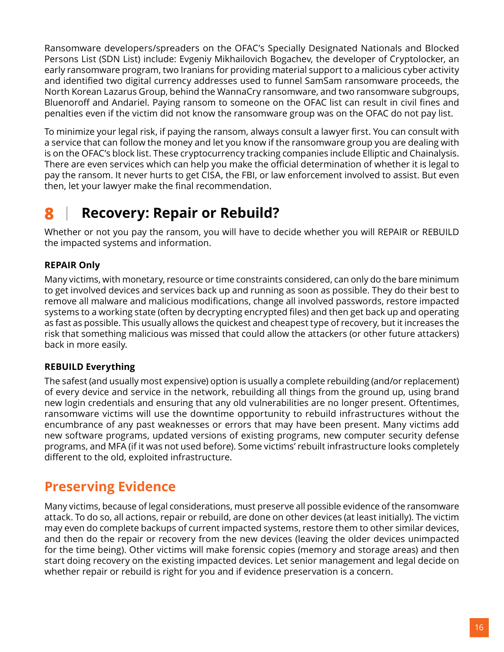<span id="page-16-0"></span>Ransomware developers/spreaders on the OFAC's Specially Designated Nationals and Blocked Persons List (SDN List) include: Evgeniy Mikhailovich Bogachev, the developer of Cryptolocker, an early ransomware program, two Iranians for providing material support to a malicious cyber activity and identified two digital currency addresses used to funnel SamSam ransomware proceeds, the North Korean Lazarus Group, behind the WannaCry ransomware, and two ransomware subgroups, Bluenoroff and Andariel. Paying ransom to someone on the OFAC list can result in civil fines and penalties even if the victim did not know the ransomware group was on the OFAC do not pay list.

To minimize your legal risk, if paying the ransom, always consult a lawyer first. You can consult with a service that can follow the money and let you know if the ransomware group you are dealing with is on the OFAC's block list. These cryptocurrency tracking companies include Elliptic and Chainalysis. There are even services which can help you make the official determination of whether it is legal to pay the ransom. It never hurts to get CISA, the FBI, or law enforcement involved to assist. But even then, let your lawyer make the final recommendation.

## **8 Recovery: Repair or Rebuild?**

Whether or not you pay the ransom, you will have to decide whether you will REPAIR or REBUILD the impacted systems and information.

#### **REPAIR Only**

Many victims, with monetary, resource or time constraints considered, can only do the bare minimum to get involved devices and services back up and running as soon as possible. They do their best to remove all malware and malicious modifications, change all involved passwords, restore impacted systems to a working state (often by decrypting encrypted files) and then get back up and operating as fast as possible. This usually allows the quickest and cheapest type of recovery, but it increases the risk that something malicious was missed that could allow the attackers (or other future attackers) back in more easily.

#### **REBUILD Everything**

The safest (and usually most expensive) option is usually a complete rebuilding (and/or replacement) of every device and service in the network, rebuilding all things from the ground up, using brand new login credentials and ensuring that any old vulnerabilities are no longer present. Oftentimes, ransomware victims will use the downtime opportunity to rebuild infrastructures without the encumbrance of any past weaknesses or errors that may have been present. Many victims add new software programs, updated versions of existing programs, new computer security defense programs, and MFA (if it was not used before). Some victims' rebuilt infrastructure looks completely different to the old, exploited infrastructure.

#### **Preserving Evidence**

Many victims, because of legal considerations, must preserve all possible evidence of the ransomware attack. To do so, all actions, repair or rebuild, are done on other devices (at least initially). The victim may even do complete backups of current impacted systems, restore them to other similar devices, and then do the repair or recovery from the new devices (leaving the older devices unimpacted for the time being). Other victims will make forensic copies (memory and storage areas) and then start doing recovery on the existing impacted devices. Let senior management and legal decide on whether repair or rebuild is right for you and if evidence preservation is a concern.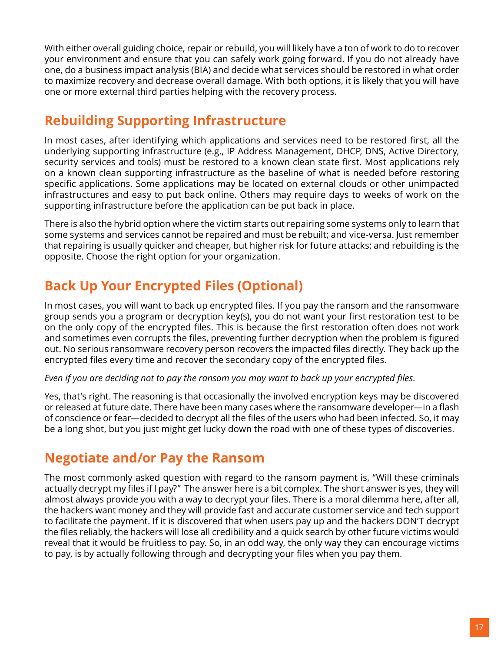<span id="page-17-0"></span>With either overall guiding choice, repair or rebuild, you will likely have a ton of work to do to recover your environment and ensure that you can safely work going forward. If you do not already have one, do a business impact analysis (BIA) and decide what services should be restored in what order to maximize recovery and decrease overall damage. With both options, it is likely that you will have one or more external third parties helping with the recovery process.

#### **Rebuilding Supporting Infrastructure**

In most cases, after identifying which applications and services need to be restored first, all the underlying supporting infrastructure (e.g., IP Address Management, DHCP, DNS, Active Directory, security services and tools) must be restored to a known clean state first. Most applications rely on a known clean supporting infrastructure as the baseline of what is needed before restoring specific applications. Some applications may be located on external clouds or other unimpacted infrastructures and easy to put back online. Others may require days to weeks of work on the supporting infrastructure before the application can be put back in place.

There is also the hybrid option where the victim starts out repairing some systems only to learn that some systems and services cannot be repaired and must be rebuilt; and vice-versa. Just remember that repairing is usually quicker and cheaper, but higher risk for future attacks; and rebuilding is the opposite. Choose the right option for your organization.

## **Back Up Your Encrypted Files (Optional)**

In most cases, you will want to back up encrypted files. If you pay the ransom and the ransomware group sends you a program or decryption key(s), you do not want your first restoration test to be on the only copy of the encrypted files. This is because the first restoration often does not work and sometimes even corrupts the files, preventing further decryption when the problem is figured out. No serious ransomware recovery person recovers the impacted files directly. They back up the encrypted files every time and recover the secondary copy of the encrypted files.

#### *Even if you are deciding not to pay the ransom you may want to back up your encrypted files.*

Yes, that's right. The reasoning is that occasionally the involved encryption keys may be discovered or released at future date. There have been many cases where the ransomware developer—in a flash of conscience or fear—decided to decrypt all the files of the users who had been infected. So, it may be a long shot, but you just might get lucky down the road with one of these types of discoveries.

#### **Negotiate and/or Pay the Ransom**

The most commonly asked question with regard to the ransom payment is, "Will these criminals actually decrypt my files if I pay?" The answer here is a bit complex. The short answer is yes, they will almost always provide you with a way to decrypt your files. There is a moral dilemma here, after all, the hackers want money and they will provide fast and accurate customer service and tech support to facilitate the payment. If it is discovered that when users pay up and the hackers DON'T decrypt the files reliably, the hackers will lose all credibility and a quick search by other future victims would reveal that it would be fruitless to pay. So, in an odd way, the only way they can encourage victims to pay, is by actually following through and decrypting your files when you pay them.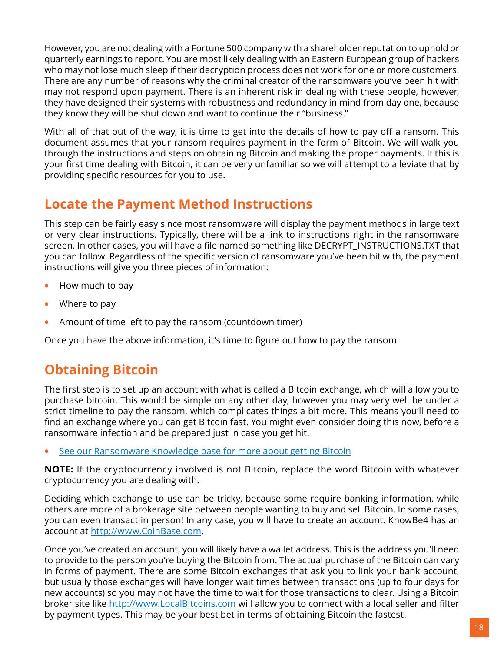<span id="page-18-0"></span>However, you are not dealing with a Fortune 500 company with a shareholder reputation to uphold or quarterly earnings to report. You are most likely dealing with an Eastern European group of hackers who may not lose much sleep if their decryption process does not work for one or more customers. There are any number of reasons why the criminal creator of the ransomware you've been hit with may not respond upon payment. There is an inherent risk in dealing with these people, however, they have designed their systems with robustness and redundancy in mind from day one, because they know they will be shut down and want to continue their "business."

With all of that out of the way, it is time to get into the details of how to pay off a ransom. This document assumes that your ransom requires payment in the form of Bitcoin. We will walk you through the instructions and steps on obtaining Bitcoin and making the proper payments. If this is your first time dealing with Bitcoin, it can be very unfamiliar so we will attempt to alleviate that by providing specific resources for you to use.

### **Locate the Payment Method Instructions**

This step can be fairly easy since most ransomware will display the payment methods in large text or very clear instructions. Typically, there will be a link to instructions right in the ransomware screen. In other cases, you will have a file named something like DECRYPT\_INSTRUCTIONS.TXT that you can follow. Regardless of the specific version of ransomware you've been hit with, the payment instructions will give you three pieces of information:

- **•** How much to pay
- **•** Where to pay
- **•** Amount of time left to pay the ransom (countdown timer)

Once you have the above information, it's time to figure out how to pay the ransom.

### **Obtaining Bitcoin**

The first step is to set up an account with what is called a Bitcoin exchange, which will allow you to purchase bitcoin. This would be simple on any other day, however you may very well be under a strict timeline to pay the ransom, which complicates things a bit more. This means you'll need to find an exchange where you can get Bitcoin fast. You might even consider doing this now, before a ransomware infection and be prepared just in case you get hit.

**•** [See our Ransomware Knowledge base for more about getting Bitcoin](https://www.knowbe4.com/ransomware-knowledgebase)

**NOTE:** If the cryptocurrency involved is not Bitcoin, replace the word Bitcoin with whatever cryptocurrency you are dealing with.

Deciding which exchange to use can be tricky, because some require banking information, while others are more of a brokerage site between people wanting to buy and sell Bitcoin. In some cases, you can even transact in person! In any case, you will have to create an account. KnowBe4 has an account at [http://www.CoinBase.com.](http://www.CoinBase.com)

Once you've created an account, you will likely have a wallet address. This is the address you'll need to provide to the person you're buying the Bitcoin from. The actual purchase of the Bitcoin can vary in forms of payment. There are some Bitcoin exchanges that ask you to link your bank account, but usually those exchanges will have longer wait times between transactions (up to four days for new accounts) so you may not have the time to wait for those transactions to clear. Using a Bitcoin broker site like <http://www.LocalBitcoins.com> will allow you to connect with a local seller and filter by payment types. This may be your best bet in terms of obtaining Bitcoin the fastest.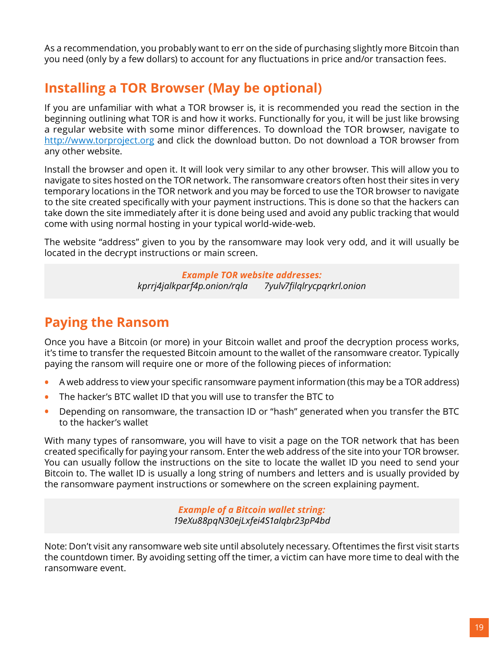<span id="page-19-0"></span>As a recommendation, you probably want to err on the side of purchasing slightly more Bitcoin than you need (only by a few dollars) to account for any fluctuations in price and/or transaction fees.

### **Installing a TOR Browser (May be optional)**

If you are unfamiliar with what a TOR browser is, it is recommended you read the section in the beginning outlining what TOR is and how it works. Functionally for you, it will be just like browsing a regular website with some minor differences. To download the TOR browser, navigate to <http://www.torproject.org>and click the download button. Do not download a TOR browser from any other website.

Install the browser and open it. It will look very similar to any other browser. This will allow you to navigate to sites hosted on the TOR network. The ransomware creators often host their sites in very temporary locations in the TOR network and you may be forced to use the TOR browser to navigate to the site created specifically with your payment instructions. This is done so that the hackers can take down the site immediately after it is done being used and avoid any public tracking that would come with using normal hosting in your typical world-wide-web.

The website "address" given to you by the ransomware may look very odd, and it will usually be located in the decrypt instructions or main screen.

> *Example TOR website addresses: kprrj4jalkparf4p.onion/rqla 7yulv7filqlrycpqrkrl.onion*

### **Paying the Ransom**

Once you have a Bitcoin (or more) in your Bitcoin wallet and proof the decryption process works, it's time to transfer the requested Bitcoin amount to the wallet of the ransomware creator. Typically paying the ransom will require one or more of the following pieces of information:

- **•** A web address to view your specific ransomware payment information (this may be a TOR address)
- **•** The hacker's BTC wallet ID that you will use to transfer the BTC to
- **•** Depending on ransomware, the transaction ID or "hash" generated when you transfer the BTC to the hacker's wallet

With many types of ransomware, you will have to visit a page on the TOR network that has been created specifically for paying your ransom. Enter the web address of the site into your TOR browser. You can usually follow the instructions on the site to locate the wallet ID you need to send your Bitcoin to. The wallet ID is usually a long string of numbers and letters and is usually provided by the ransomware payment instructions or somewhere on the screen explaining payment.

> *Example of a Bitcoin wallet string: 19eXu88pqN30ejLxfei4S1alqbr23pP4bd*

Note: Don't visit any ransomware web site until absolutely necessary. Oftentimes the first visit starts the countdown timer. By avoiding setting off the timer, a victim can have more time to deal with the ransomware event.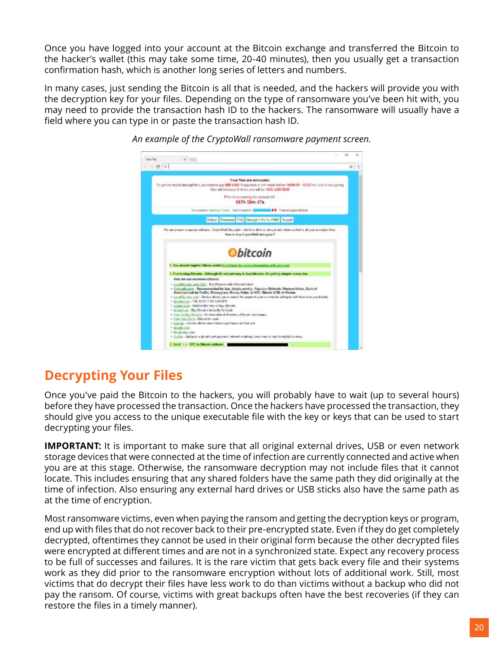<span id="page-20-0"></span>Once you have logged into your account at the Bitcoin exchange and transferred the Bitcoin to the hacker's wallet (this may take some time, 20-40 minutes), then you usually get a transaction confirmation hash, which is another long series of letters and numbers.

In many cases, just sending the Bitcoin is all that is needed, and the hackers will provide you with the decryption key for your files. Depending on the type of ransomware you've been hit with, you may need to provide the transaction hash ID to the hackers. The ransomware will usually have a field where you can type in or paste the transaction hash ID.



*An example of the CryptoWall ransomware payment screen.*

### **Decrypting Your Files**

Once you've paid the Bitcoin to the hackers, you will probably have to wait (up to several hours) before they have processed the transaction. Once the hackers have processed the transaction, they should give you access to the unique executable file with the key or keys that can be used to start decrypting your files.

**IMPORTANT:** It is important to make sure that all original external drives, USB or even network storage devices that were connected at the time of infection are currently connected and active when you are at this stage. Otherwise, the ransomware decryption may not include files that it cannot locate. This includes ensuring that any shared folders have the same path they did originally at the time of infection. Also ensuring any external hard drives or USB sticks also have the same path as at the time of encryption.

Most ransomware victims, even when paying the ransom and getting the decryption keys or program, end up with files that do not recover back to their pre-encrypted state. Even if they do get completely decrypted, oftentimes they cannot be used in their original form because the other decrypted files were encrypted at different times and are not in a synchronized state. Expect any recovery process to be full of successes and failures. It is the rare victim that gets back every file and their systems work as they did prior to the ransomware encryption without lots of additional work. Still, most victims that do decrypt their files have less work to do than victims without a backup who did not pay the ransom. Of course, victims with great backups often have the best recoveries (if they can restore the files in a timely manner).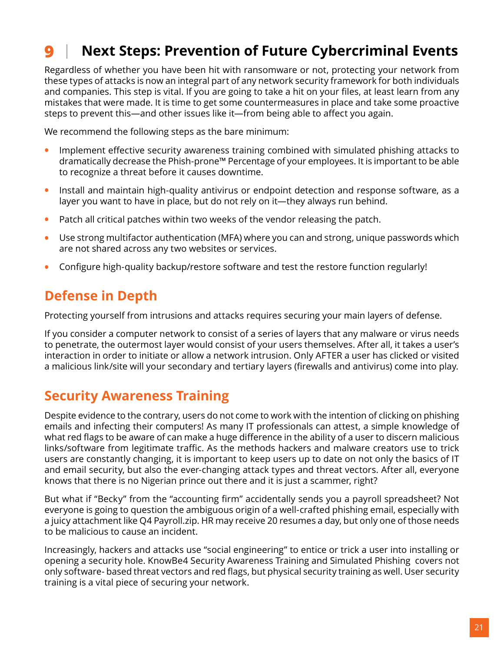## <span id="page-21-0"></span>**9 Next Steps: Prevention of Future Cybercriminal Events**

Regardless of whether you have been hit with ransomware or not, protecting your network from these types of attacks is now an integral part of any network security framework for both individuals and companies. This step is vital. If you are going to take a hit on your files, at least learn from any mistakes that were made. It is time to get some countermeasures in place and take some proactive steps to prevent this—and other issues like it—from being able to affect you again.

We recommend the following steps as the bare minimum:

- **•** Implement effective security awareness training combined with simulated phishing attacks to dramatically decrease the Phish-prone™ Percentage of your employees. It is important to be able to recognize a threat before it causes downtime.
- **•** Install and maintain high-quality antivirus or endpoint detection and response software, as a layer you want to have in place, but do not rely on it—they always run behind.
- **•** Patch all critical patches within two weeks of the vendor releasing the patch.
- **•** Use strong multifactor authentication (MFA) where you can and strong, unique passwords which are not shared across any two websites or services.
- **•** Configure high-quality backup/restore software and test the restore function regularly!

### **Defense in Depth**

Protecting yourself from intrusions and attacks requires securing your main layers of defense.

If you consider a computer network to consist of a series of layers that any malware or virus needs to penetrate, the outermost layer would consist of your users themselves. After all, it takes a user's interaction in order to initiate or allow a network intrusion. Only AFTER a user has clicked or visited a malicious link/site will your secondary and tertiary layers (firewalls and antivirus) come into play.

#### **Security Awareness Training**

Despite evidence to the contrary, users do not come to work with the intention of clicking on phishing emails and infecting their computers! As many IT professionals can attest, a simple knowledge of what red flags to be aware of can make a huge difference in the ability of a user to discern malicious links/software from legitimate traffic. As the methods hackers and malware creators use to trick users are constantly changing, it is important to keep users up to date on not only the basics of IT and email security, but also the ever-changing attack types and threat vectors. After all, everyone knows that there is no Nigerian prince out there and it is just a scammer, right?

But what if "Becky" from the "accounting firm" accidentally sends you a payroll spreadsheet? Not everyone is going to question the ambiguous origin of a well-crafted phishing email, especially with a juicy attachment like Q4 Payroll.zip. HR may receive 20 resumes a day, but only one of those needs to be malicious to cause an incident.

Increasingly, hackers and attacks use "social engineering" to entice or trick a user into installing or opening a security hole. KnowBe4 Security Awareness Training and Simulated Phishing covers not only software- based threat vectors and red flags, but physical security training as well. User security training is a vital piece of securing your network.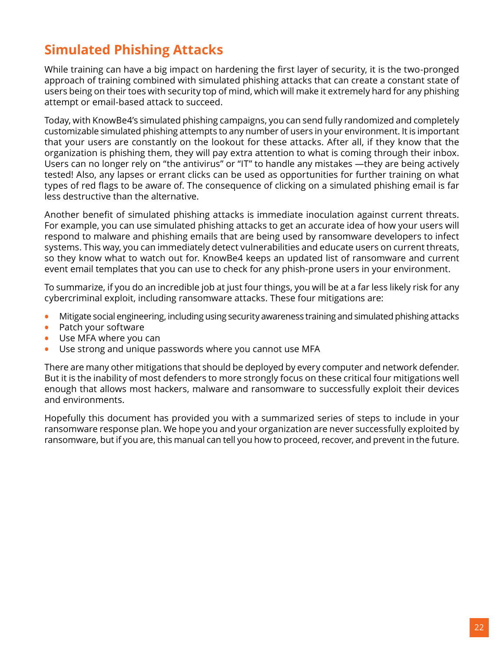## <span id="page-22-0"></span>**Simulated Phishing Attacks**

While training can have a big impact on hardening the first layer of security, it is the two-pronged approach of training combined with simulated phishing attacks that can create a constant state of users being on their toes with security top of mind, which will make it extremely hard for any phishing attempt or email-based attack to succeed.

Today, with KnowBe4's simulated phishing campaigns, you can send fully randomized and completely customizable simulated phishing attempts to any number of users in your environment. It is important that your users are constantly on the lookout for these attacks. After all, if they know that the organization is phishing them, they will pay extra attention to what is coming through their inbox. Users can no longer rely on "the antivirus" or "IT" to handle any mistakes —they are being actively tested! Also, any lapses or errant clicks can be used as opportunities for further training on what types of red flags to be aware of. The consequence of clicking on a simulated phishing email is far less destructive than the alternative.

Another benefit of simulated phishing attacks is immediate inoculation against current threats. For example, you can use simulated phishing attacks to get an accurate idea of how your users will respond to malware and phishing emails that are being used by ransomware developers to infect systems. This way, you can immediately detect vulnerabilities and educate users on current threats, so they know what to watch out for. KnowBe4 keeps an updated list of ransomware and current event email templates that you can use to check for any phish-prone users in your environment.

To summarize, if you do an incredible job at just four things, you will be at a far less likely risk for any cybercriminal exploit, including ransomware attacks. These four mitigations are:

- **•** Mitigate social engineering, including using security awareness training and simulated phishing attacks
- **•** Patch your software
- **•** Use MFA where you can
- **•** Use strong and unique passwords where you cannot use MFA

There are many other mitigations that should be deployed by every computer and network defender. But it is the inability of most defenders to more strongly focus on these critical four mitigations well enough that allows most hackers, malware and ransomware to successfully exploit their devices and environments.

Hopefully this document has provided you with a summarized series of steps to include in your ransomware response plan. We hope you and your organization are never successfully exploited by ransomware, but if you are, this manual can tell you how to proceed, recover, and prevent in the future.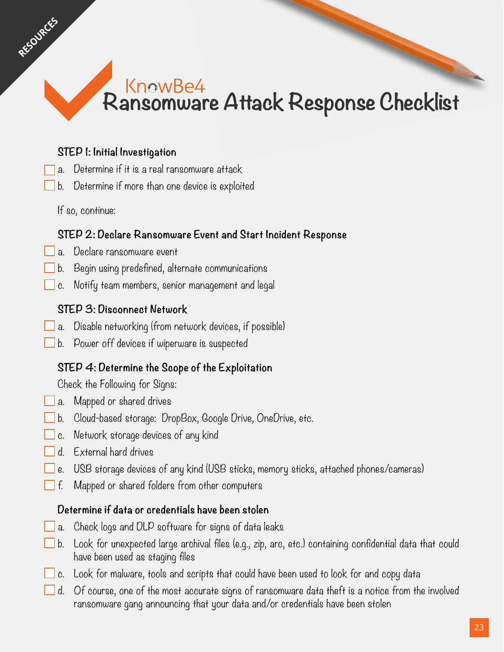## KnowBe4 Ransomware Attack Response Checklist

#### **STEP 1: Initial Investigation**

- a. Determine if it is a real ransomware attack
- b. Determine if more than one device is exploited

If so, continue:

<span id="page-23-0"></span>RESOURCES

#### **STEP 2: Declare Ransomware Event and Start Incident Response**

- a. Declare ransomware event
- b. Begin using predefined, alternate communications
- c. Notify team members, senior management and legal

#### **STEP 3: Disconnect Network**

- $\Box$  a. Disable networking (from network devices, if possible)
- b. Power off devices if wiperware is suspected

#### **STEP 4: Determine the Scope of the Exploitation**

Check the Following for Signs:

- **a.** Mapped or shared drives
- b. Cloud-based storage: DropBox, Google Drive, OneDrive, etc.
- c. Network storage devices of any kind
- d. External hard drives
- e. USB storage devices of any kind (USB sticks, memory sticks, attached phones/cameras)
- $\Box$  f. Mapped or shared folders from other computers

#### **Determine if data or credentials have been stolen**

- $\Box$  a. Check logs and DLP software for signs of data leaks
- b. Look for unexpected large archival files (e.g., zip, arc, etc.) containing confidential data that could have been used as staging files
- $\Box$  c.  $\Box$  Look for malware, tools and scripts that could have been used to look for and copy data
- $\Box$  d.  $\;\mathop{\mathsf{Of}}\nolimits$  course, one of the most accurate signs of ransomware data theft is a notice from the involved ransomware gang announcing that your data and/or credentials have been stolen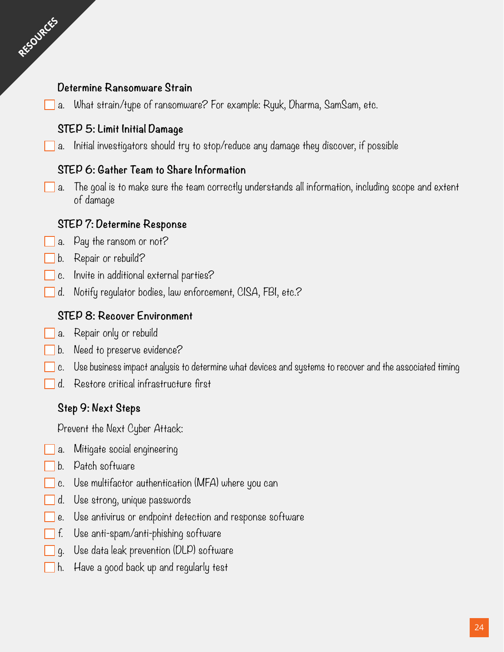#### **Determine Ransomware Strain**

RESOURCES

a. What strain/type of ransomware? For example: Ryuk, Dharma, SamSam, etc.

#### **STEP 5: Limit Initial Damage**

 $\Box$  a. Initial investigators should try to stop/reduce any damage they discover, if possible

#### **STEP 6: Gather Team to Share Information**

 $\Box$  a. The goal is to make sure the team correctly understands all information, including scope and extent of damage

#### **STEP 7: Determine Response**

- a. Pay the ransom or not?
- b. Repair or rebuild?
- c. Invite in additional external parties?
- d. Notify regulator bodies, law enforcement, CISA, FBI, etc.?

#### **STEP 8: Recover Environment**

- a. Repair only or rebuild
- b. Need to preserve evidence?
- c. Use business impact analysis to determine what devices and systems to recover and the associated timing
- d. Restore critical infrastructure first

#### **Step 9: Next Steps**

Prevent the Next Cyber Attack:

- a. Mitigate social engineering
- b. Patch software
- c. Use multifactor authentication (MFA) where you can
- d. Use strong, unique passwords
- e. Use antivirus or endpoint detection and response software
- Use anti-spam/anti-phishing software
- g. Use data leak prevention (DLP) software
- h. Have a good back up and regularly test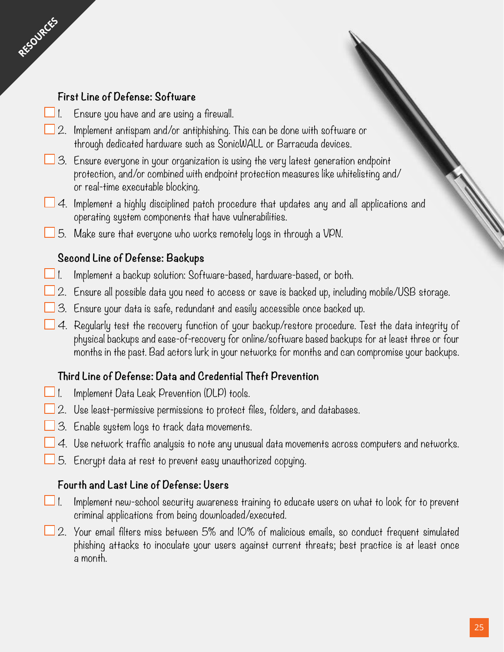#### **First Line of Defense: Software**

RESOURCES

- $\Box$  1. Ensure you have and are using a firewall.
- $\Box$  2. Implement antispam and/or antiphishing. This can be done with software or through dedicated hardware such as SonicWALL or Barracuda devices.
- $\Box$  3. Ensure everyone in your organization is using the very latest generation endpoint protection, and/or combined with endpoint protection measures like whitelisting and/ or real-time executable blocking.
- 4. Implement a highly disciplined patch procedure that updates any and all applications and operating system components that have vulnerabilities.
	- 5. Make sure that everyone who works remotely logs in through a VPN.

#### **Second Line of Defense: Backups**

- 1. Implement a backup solution: Software-based, hardware-based, or both.
- $\Box$  2. Ensure all possible data you need to access or save is backed up, including mobile/USB storage.
- $\Box$  3. Ensure your data is safe, redundant and easily accessible once backed up.
- 4. Regularly test the recovery function of your backup/restore procedure. Test the data integrity of physical backups and ease-of-recovery for online/software based backups for at least three or four months in the past. Bad actors lurk in your networks for months and can compromise your backups.

#### **Third Line of Defense: Data and Credential Theft Prevention**

- $\Box$  1. Implement Data Leak Prevention (DLP) tools.
- $\Box$  2. Use least-permissive permissions to protect files, folders, and databases.
- $\Box$  3. Enable system logs to track data movements.
- $\Box$  4. Use network traffic analysis to note any unusual data movements across computers and networks.
- $\Box$  5. Encrypt data at rest to prevent easy unauthorized copying.

#### **Fourth and Last Line of Defense: Users**

- $\Box$  1. Implement new-school security awareness training to educate users on what to look for to prevent criminal applications from being downloaded/executed.
- $\Box$  2. Your email filters miss between 5% and IO% of malicious emails, so conduct frequent simulated phishing attacks to inoculate your users against current threats; best practice is at least once a month.